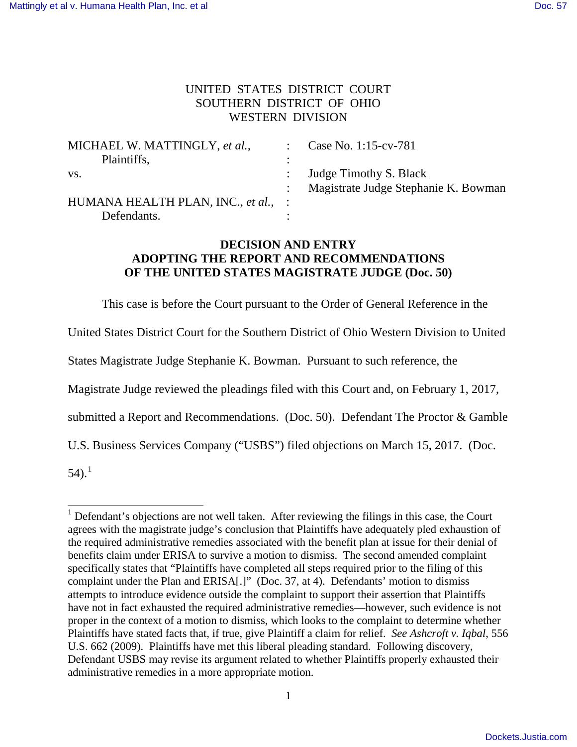## UNITED STATES DISTRICT COURT SOUTHERN DISTRICT OF OHIO WESTERN DIVISION

| MICHAEL W. MATTINGLY, et al.,       |           | Case No. 1:15-cv-781                 |
|-------------------------------------|-----------|--------------------------------------|
| Plaintiffs,                         | $\bullet$ |                                      |
| VS.                                 |           | Judge Timothy S. Black               |
|                                     |           | Magistrate Judge Stephanie K. Bowman |
| HUMANA HEALTH PLAN, INC., et al., : |           |                                      |
| Defendants.                         |           |                                      |

## **DECISION AND ENTRY ADOPTING THE REPORT AND RECOMMENDATIONS OF THE UNITED STATES MAGISTRATE JUDGE (Doc. 50)**

This case is before the Court pursuant to the Order of General Reference in the

United States District Court for the Southern District of Ohio Western Division to United

States Magistrate Judge Stephanie K. Bowman. Pursuant to such reference, the

Magistrate Judge reviewed the pleadings filed with this Court and, on February 1, 2017,

submitted a Report and Recommendations. (Doc. 50). Defendant The Proctor & Gamble

U.S. Business Services Company ("USBS") filed objections on March 15, 2017. (Doc.

 $54$ ).<sup>1</sup>

ı

 $<sup>1</sup>$  Defendant's objections are not well taken. After reviewing the filings in this case, the Court</sup> agrees with the magistrate judge's conclusion that Plaintiffs have adequately pled exhaustion of the required administrative remedies associated with the benefit plan at issue for their denial of benefits claim under ERISA to survive a motion to dismiss. The second amended complaint specifically states that "Plaintiffs have completed all steps required prior to the filing of this complaint under the Plan and ERISA[.]" (Doc. 37, at 4). Defendants' motion to dismiss attempts to introduce evidence outside the complaint to support their assertion that Plaintiffs have not in fact exhausted the required administrative remedies—however, such evidence is not proper in the context of a motion to dismiss, which looks to the complaint to determine whether Plaintiffs have stated facts that, if true, give Plaintiff a claim for relief. *See Ashcroft v. Iqbal*, 556 U.S. 662 (2009). Plaintiffs have met this liberal pleading standard. Following discovery, Defendant USBS may revise its argument related to whether Plaintiffs properly exhausted their administrative remedies in a more appropriate motion.